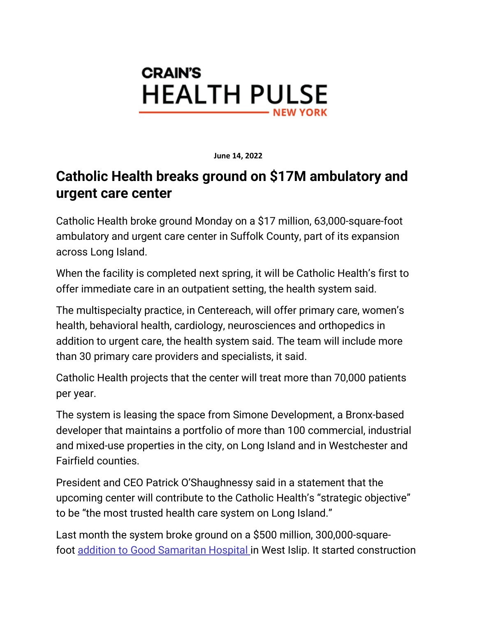

**June 14, 2022**

## **Catholic Health breaks ground on \$17M ambulatory and urgent care center**

Catholic Health broke ground Monday on a \$17 million, 63,000-square-foot ambulatory and urgent care center in Suffolk County, part of its expansion across Long Island.

When the facility is completed next spring, it will be Catholic Health's first to offer immediate care in an outpatient setting, the health system said.

The multispecialty practice, in Centereach, will offer primary care, women's health, behavioral health, cardiology, neurosciences and orthopedics in addition to urgent care, the health system said. The team will include more than 30 primary care providers and specialists, it said.

Catholic Health projects that the center will treat more than 70,000 patients per year.

The system is leasing the space from Simone Development, a Bronx-based developer that maintains a portfolio of more than 100 commercial, industrial and mixed-use properties in the city, on Long Island and in Westchester and Fairfield counties.

President and CEO Patrick O'Shaughnessy said in a statement that the upcoming center will contribute to the Catholic Health's "strategic objective" to be "the most trusted health care system on Long Island."

Last month the system broke ground on a \$500 million, 300,000-squarefoot [addition to Good Samaritan Hospital](https://archive.ph/o/e65Dt/https:/www.crainsnewyork.com/health-care/catholic-health-breaks-ground-500m-long-island-patient-care-pavilion) in West Islip. It started construction